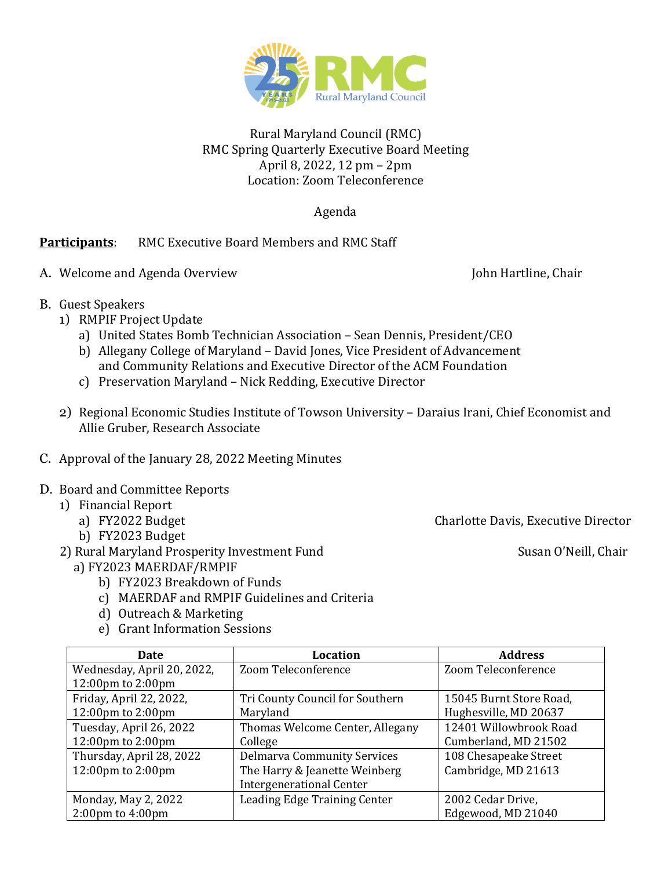

## Rural Maryland Council (RMC) RMC Spring Quarterly Executive Board Meeting April 8, 2022, 12 pm – 2pm Location: Zoom Teleconference

Agenda

## **Participants**: RMC Executive Board Members and RMC Staff

A. Welcome and Agenda Overview John Hartline, Chair

- B. Guest Speakers
	- 1) RMPIF Project Update
		- a) United States Bomb Technician Association Sean Dennis, President/CEO
		- b) Allegany College of Maryland David Jones, Vice President of Advancement and Community Relations and Executive Director of the ACM Foundation
		- c) Preservation Maryland Nick Redding, Executive Director
	- 2) Regional Economic Studies Institute of Towson University Daraius Irani, Chief Economist and Allie Gruber, Research Associate
- C. Approval of the January 28, 2022 Meeting Minutes

## D. Board and Committee Reports

- 1) Financial Report<br>a) FY2022 Budget
	-
	- b) FY2023 Budget
- 2) Rural Maryland Prosperity Investment Fund Susan O'Neill, Chair
	- a) FY2023 MAERDAF/RMPIF
		- b) FY2023 Breakdown of Funds
		- c) MAERDAF and RMPIF Guidelines and Criteria
		- d) Outreach & Marketing
		- e) Grant Information Sessions

| Date                                  | <b>Location</b>                    | <b>Address</b>          |
|---------------------------------------|------------------------------------|-------------------------|
| Wednesday, April 20, 2022,            | Zoom Teleconference                | Zoom Teleconference     |
| $12:00 \text{pm}$ to $2:00 \text{pm}$ |                                    |                         |
| Friday, April 22, 2022,               | Tri County Council for Southern    | 15045 Burnt Store Road, |
| $12:00 \text{pm}$ to $2:00 \text{pm}$ | Maryland                           | Hughesville, MD 20637   |
| Tuesday, April 26, 2022               | Thomas Welcome Center, Allegany    | 12401 Willowbrook Road  |
| 12:00pm to 2:00pm                     | College                            | Cumberland, MD 21502    |
| Thursday, April 28, 2022              | <b>Delmarva Community Services</b> | 108 Chesapeake Street   |
| 12:00pm to 2:00pm                     | The Harry & Jeanette Weinberg      | Cambridge, MD 21613     |
|                                       | <b>Intergenerational Center</b>    |                         |
| Monday, May 2, 2022                   | Leading Edge Training Center       | 2002 Cedar Drive,       |
| $2:00 \text{pm}$ to $4:00 \text{pm}$  |                                    | Edgewood, MD 21040      |

Charlotte Davis, Executive Director